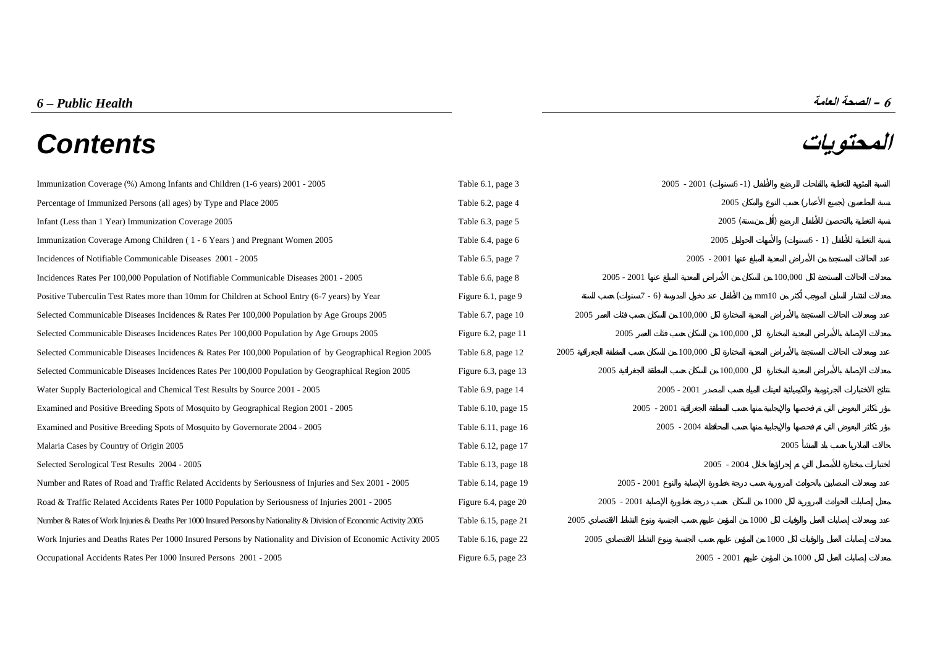# **المحتويات** *Contents*

[Immunization Coverage \(%\) Among Infants and Children \(1-6 years\) 2001 - 2005 Table 6.1, page 3 2005](#page-2-0) - 2001 ( 6-1) [Percentage of Immunized Persons \(all ages\) by Type and Place 2005 Table 6.2, page 4 2005](#page--1-0) Infant (Less than 1 Year) Immunization Coverage 2005 ( 2005 ( ) 2005 ( ) 2005 ( ) 32005 ( ) 32005 ( ) 32005 ( ) 2005 ( ) 2005 ( ) 2005 ( ) 32005 ( ) 32005 ( ) 32005 ( ) 32005 ( ) 32005 ( ) 32005 ( ) 32005 ( ) 3200 ( ) 3200 Immunization Coverage Among Children ( 1 - 6 Years ) and Pregnant Women 2005 ( 6 - 1) Table 6.4, page 6 2005 ( 6 - 1) [Incidences of Notifiable Communicable Diseases 2001 - 2005 Table 6.5, page 7 2005](#page-6-0) - 2001 - 2005 - 2001 [Incidences Rates Per 100,000 Population of Notifiable Communicable Diseases 2001 - 2005 Table 6.6, page 8 2005](#page-7-0) - 2001 100,000 Population of Notifiable Communicable Diseases 2001 - 2005 Table 6.6, page 8 [Positive Tuberculin Test Rates more than 10mm for Children at School Entry \(6-7 years\) by Year Figure 6.1, page 9](#page-8-0) (7 - 6) mm10 [Selected Communicable Diseases Incidences & Rates Per 100,000 Population by Age Groups 2005 Table 6.7, page 10 2005](#page-9-0) 100,000 [Selected Communicable Diseases Incidences Rates Per 100,000 Population by Age Groups 2005 Figure 6.2, page 11 2005](#page-10-0) 2005 100,000 [Selected Communicable Diseases Incidences & Rates Per 100,000 Population of by Geographical Region 2005 Table 6.8, page 12 2005](#page-11-0) 100,000 [Selected Communicable Diseases Incidences Rates Per 100,000 Population by Geographical Region 2005 Figure 6.3, page 13 2005](#page-12-0) 100,000 [Water Supply Bacteriological and Chemical Test Results by Source 2001 - 2005 Table 6.9, page 14 2005](#page-13-0) - 2001 - 2005 - 2001 [Examined and Positive Breeding Spots of Mosquito by Geographical Region 2001 - 2005 Table 6.10, page 15 2005](#page-14-0) - 2001 - 2005 - 2001 [Examined and Positive Breeding Spots of Mosquito by Governorate 2004 - 2005 Table 6.11, page 16 2005](#page-15-0) - 2004 - 2005 - 2004 Malaria Cases by Country of Origin 2005 2005 2005 Table 6.12, page 17 Selected Serological Test Results 2004 - 2005 2004 2005 2004 2005 2004 2005 2004 2005 2004 2005 2004 [Number and Rates of Road and Traffic Related Accidents by Seriousness of Injuries and Sex 2001 - 2005 Table 6.14, page 19 2005](#page-18-0) - 2001 [Road & Traffic Related Accidents Rates Per 1000 Population by Seriousness of Injuries 2001 - 2005 Figure 6.4, page 20 2005](#page-19-0) - 2001 1000 [Number & Rates of Work Injuries & Deaths Per 1000 Insured Persons by Nationality & Division of Economic Activity 2005 Table 6.15, page 21 2005](#page-20-0) 1000 [Work Injuries and Deaths Rates Per 1000 Insured Persons by Nationality and Division of Economic Activity 2005 Table 6.16, page 22 2005](#page-21-0) 1000 Occupational Accidents Rates Per 1000 Insured Persons 2001 - 2005 2005 - 2005 - 2005 - 2001 1000 1000 1000 1000

**6 – الصحة العامة** *Health Public – 6*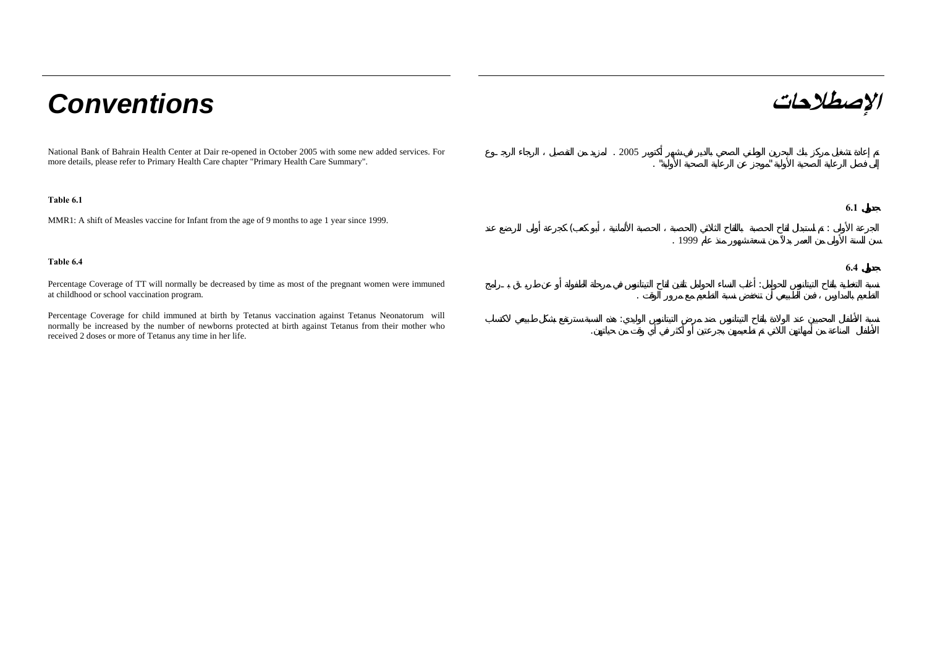# **الإصطلاحات** *Conventions*

National Bank of Bahrain Health Center at Dair re-opened in October 2005 with some new added services. For more details, please refer to Primary Health Care chapter "Primary Health Care Summary".

# **Table 6.1**

MMR1: A shift of Measles vaccine for Infant from the age of 9 months to age 1 year since 1999.

Percentage Coverage of TT will normally be decreased by time as most of the pregnant women were immuned at childhood or school vaccination program.

Percentage Coverage for child immuned at birth by Tetanus vaccination against Tetanus Neonatorum will normally be increased by the number of newborns protected at birth against Tetanus from their mother who received 2 doses or more of Tetanus any time in her life.

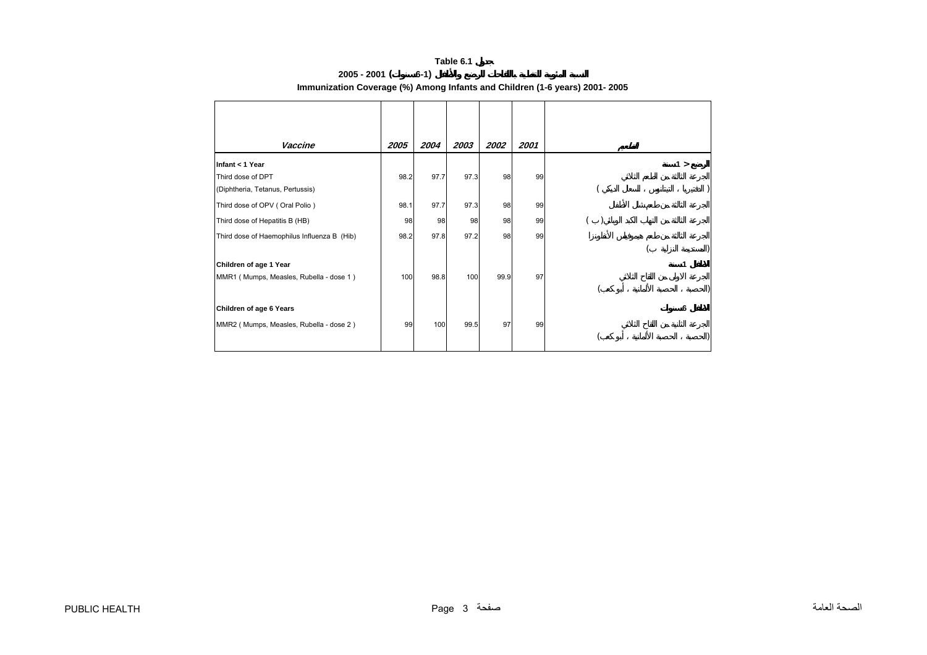|                 | Table 6.1                                                                  |
|-----------------|----------------------------------------------------------------------------|
| $2005 - 2001$ ( | $6-1)$                                                                     |
|                 | Immunization Coverage (%) Among Infants and Children (1-6 years) 2001-2005 |

<span id="page-2-0"></span>

| Vaccine                                     | 2005 | 2004 | 2003 | 2002 | 2001 |  |
|---------------------------------------------|------|------|------|------|------|--|
|                                             |      |      |      |      |      |  |
| Infant < 1 Year                             |      |      |      |      |      |  |
| Third dose of DPT                           | 98.2 | 97.7 | 97.3 | 98   | 99   |  |
| (Diphtheria, Tetanus, Pertussis)            |      |      |      |      |      |  |
| Third dose of OPV (Oral Polio)              | 98.1 | 97.7 | 97.3 | 98   | 99   |  |
| Third dose of Hepatitis B (HB)              | 98   | 98   | 98   | 98   | 99   |  |
| Third dose of Haemophilus Influenza B (Hib) | 98.2 | 97.8 | 97.2 | 98   | 99   |  |
|                                             |      |      |      |      |      |  |
| Children of age 1 Year                      |      |      |      |      |      |  |
| MMR1 (Mumps, Measles, Rubella - dose 1)     | 100  | 98.8 | 100  | 99.9 | 97   |  |
|                                             |      |      |      |      |      |  |
| Children of age 6 Years                     |      |      |      |      |      |  |
| MMR2 (Mumps, Measles, Rubella - dose 2)     | 99   | 100  | 99.5 | 97   | 99   |  |
|                                             |      |      |      |      |      |  |
|                                             |      |      |      |      |      |  |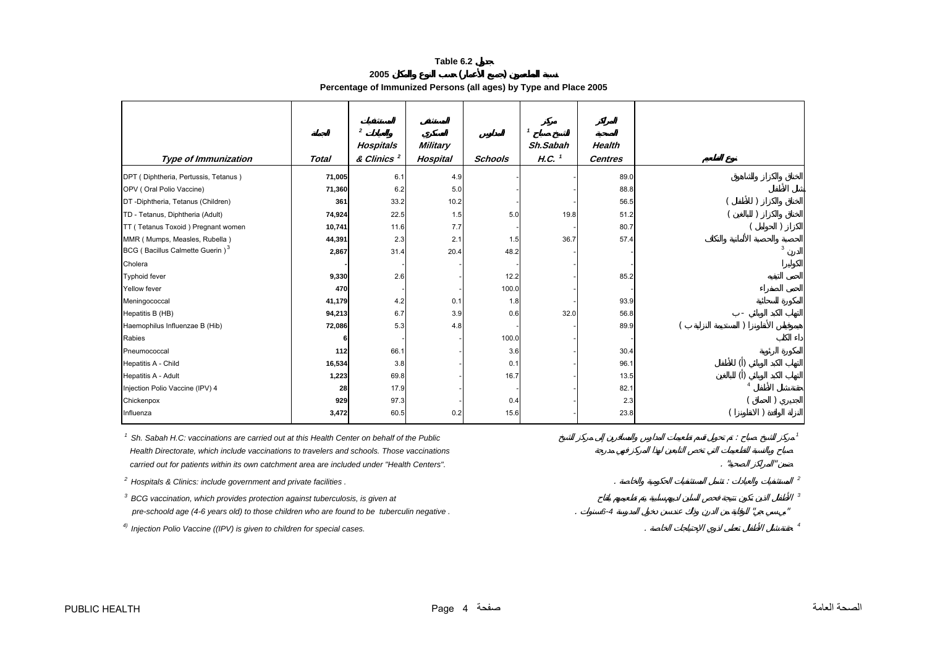|                                                                   | Table 6.2 |  |
|-------------------------------------------------------------------|-----------|--|
| 2005                                                              |           |  |
| Percentage of Immunized Persons (all ages) by Type and Place 2005 |           |  |

|                                                                                             |              | $\overline{\mathbf{2}}$             |                             |                | $\mathbf{1}$                    |                                 |                  |
|---------------------------------------------------------------------------------------------|--------------|-------------------------------------|-----------------------------|----------------|---------------------------------|---------------------------------|------------------|
| <b>Type of Immunization</b>                                                                 | <b>Total</b> | Hospitals<br>& Clinics <sup>2</sup> | <b>Military</b><br>Hospital | <b>Schools</b> | Sh.Sabah<br>$H.C.$ <sup>1</sup> | <b>Health</b><br><b>Centres</b> |                  |
| DPT (Diphtheria, Pertussis, Tetanus)                                                        | 71,005       | 6.1                                 | 4.9                         |                |                                 | 89.0                            |                  |
| OPV (Oral Polio Vaccine)                                                                    | 71,360       | 6.2                                 | 5.0                         |                |                                 | 88.8                            |                  |
| DT-Diphtheria, Tetanus (Children)                                                           | 361          | 33.2                                | 10.2                        |                |                                 | 56.5                            |                  |
| TD - Tetanus, Diphtheria (Adult)                                                            | 74,924       | 22.5                                | 1.5                         | 5.0            | 19.8                            | 51.2                            |                  |
| TT (Tetanus Toxoid) Pregnant women                                                          | 10,741       | 11.6                                | 7.7                         |                |                                 | 80.7                            |                  |
| MMR (Mumps, Measles, Rubella)                                                               | 44,391       | 2.3                                 | 2.1                         | 1.5            | 36.7                            | 57.4                            |                  |
| BCG (Bacillus Calmette Guerin) <sup>3</sup>                                                 | 2,867        | 31.4                                | 20.4                        | 48.2           |                                 |                                 | 3                |
| Cholera                                                                                     |              |                                     |                             |                |                                 |                                 |                  |
| <b>Typhoid fever</b>                                                                        | 9,330        | 2.6                                 |                             | 12.2           |                                 | 85.2                            |                  |
| Yellow fever                                                                                | 470          |                                     |                             | 100.0          |                                 |                                 |                  |
| Meningococcal                                                                               | 41,179       | 4.2                                 | 0.1                         | 1.8            |                                 | 93.9                            |                  |
| Hepatitis B (HB)                                                                            | 94,213       | 6.7                                 | 3.9                         | 0.6            | 32.0                            | 56.8                            |                  |
| Haemophilus Influenzae B (Hib)                                                              | 72,086       | 5.3                                 | 4.8                         |                |                                 | 89.9                            |                  |
| Rabies                                                                                      |              |                                     |                             | 100.0          |                                 |                                 |                  |
| Pneumococcal                                                                                | 112          | 66.1                                |                             | 3.6            |                                 | 30.4                            |                  |
| Hepatitis A - Child                                                                         | 16,534       | 3.8                                 |                             | 0.1            |                                 | 96.1                            | $\left( \right)$ |
| Hepatitis A - Adult                                                                         | 1,223        | 69.8                                |                             | 16.7           |                                 | 13.5                            |                  |
| Injection Polio Vaccine (IPV) 4                                                             | 28           | 17.9                                |                             |                |                                 | 82.1                            |                  |
| Chickenpox                                                                                  | 929          | 97.3                                |                             | 0.4            |                                 | 2.3                             |                  |
| Influenza                                                                                   | 3,472        | 60.5                                | 0.2                         | 15.6           |                                 | 23.8                            |                  |
| Sh. Sabah H.C: vaccinations are carried out at this Health Center on behalf of the Public   |              |                                     |                             |                |                                 |                                 |                  |
| Health Directorate, which include vaccinations to travelers and schools. Those vaccinations |              |                                     |                             |                |                                 |                                 |                  |
| carried out for patients within its own catchment area are included under "Health Centers". |              |                                     |                             |                |                                 |                                 |                  |
| <sup>2</sup> Hospitals & Clinics: include government and private facilities.                |              |                                     |                             |                |                                 |                                 |                  |
| $3$ BCG vaccination, which provides protection against tuberculosis, is given at            |              |                                     |                             |                |                                 |                                 |                  |
| pre-schoold age (4-6 years old) to those children who are found to be tuberculin negative.  |              |                                     |                             |                |                                 | $6 - 4$                         |                  |

*4) Injection Polio Vaccine ((IPV) is given to children for special cases.* . *<sup>4</sup>*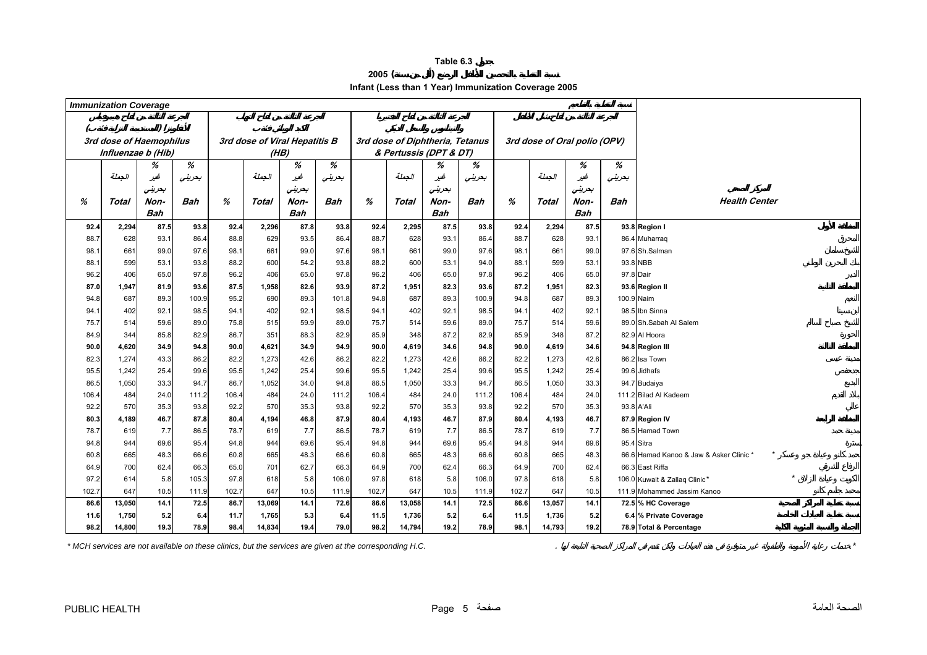**2005 ( )** 

**Infant (Less than 1 Year) Immunization Coverage 2005**

<span id="page-4-0"></span>

|              | <b>Immunization Coverage</b> |                         |               |              |                               |             |               |              |            |                                 |               |              |            |                              |            |                                                  |
|--------------|------------------------------|-------------------------|---------------|--------------|-------------------------------|-------------|---------------|--------------|------------|---------------------------------|---------------|--------------|------------|------------------------------|------------|--------------------------------------------------|
|              |                              |                         |               |              |                               |             |               |              |            |                                 |               |              |            |                              |            |                                                  |
|              |                              |                         |               |              |                               |             |               |              |            |                                 |               |              |            |                              |            |                                                  |
|              |                              | 3rd dose of Haemophilus |               |              | 3rd dose of Viral Hepatitis B |             |               |              |            | 3rd dose of Diphtheria, Tetanus |               |              |            | 3rd dose of Oral polio (OPV) |            |                                                  |
|              |                              | Influenzae b (Hib)      | %             |              | (HB)                          | %           | %             |              |            | & Pertussis (DPT & DT)          | %             |              |            |                              | %          |                                                  |
|              | الجملة                       | %<br>غير                | بعرينى        |              | الجملة                        | غير         | بعرينى        |              | الجملة     | %<br>غير                        | بحريني        |              | الجملة     | %<br>غير                     | بعرينى     |                                                  |
|              |                              | بحرينى                  |               |              |                               | بعرينى      |               |              |            | بعرينى                          |               |              |            | بعرينى                       |            |                                                  |
| %            | Total                        | Non-                    | <b>Bah</b>    | %            | Total                         | Non-        | Bah           | %            | Total      | Non-                            | <b>Bah</b>    | %            | Total      | Non-                         | <b>Bah</b> | <b>Health Center</b>                             |
|              |                              | <b>Bah</b>              |               |              |                               | <b>Bah</b>  |               |              |            | Bah                             |               |              |            | <b>Bah</b>                   |            |                                                  |
| 92.4         | 2,294                        | 87.5                    | 93.8          | 92.4         | 2,296                         | 87.8        | 93.8          | 92.4         | 2,295      | 87.5                            | 93.8          | 92.4         | 2,294      | 87.5                         |            | 93.8 Region I                                    |
| 88.7         | 628                          | 93.1                    | 86.4          | 88.8         | 629                           | 93.5        | 86.4          | 88.7         | 628        | 93.1                            | 86.4          | 88.7         | 628        | 93.1                         |            | 86.4 Muharraq                                    |
| 98.1         | 661                          | 99.0                    | 97.6          | 98.1         | 661                           | 99.0        | 97.6          | 98.1         | 661        | 99.0                            | 97.6          | 98.1         | 661        | 99.0                         |            | 97.6 Sh.Salman                                   |
| 88.1         | 599                          | 53.1                    | 93.8          | 88.2         | 600                           | 54.2        | 93.8          | 88.2         | 600        | 53.1                            | 94.0          | 88.1         | 599        | 53.1                         |            | 93.8 NBB                                         |
| 96.2         | 406                          | 65.0                    | 97.8          | 96.2         | 406                           | 65.0        | 97.8          | 96.2         | 406        | 65.0                            | 97.8          | 96.2         | 406        | 65.0                         |            | 97.8 Dair                                        |
| 87.0         | 1,947                        | 81.9                    | 93.6          | 87.5         | 1,958                         | 82.6        | 93.9          | 87.2         | 1,951      | 82.3                            | 93.6          | 87.2         | 1,951      | 82.3                         |            | 93.6 Region II                                   |
| 94.8         | 687                          | 89.3                    | 100.9         | 95.2         | 690                           | 89.3        | 101.8         | 94.8         | 687        | 89.3                            | 100.9         | 94.8         | 687        | 89.3                         |            | 100.9 Naim                                       |
| 94.1         | 402                          | 92.1                    | 98.5          | 94.1         | 402                           | 92.1        | 98.5          | 94.1         | 402        | 92.1                            | 98.5          | 94.1         | 402        | 92.1                         |            | 98.5 Ibn Sinna                                   |
| 75.7         | 514                          | 59.6                    | 89.0          | 75.8         | 515                           | 59.9        | 89.0          | 75.7         | 514        | 59.6                            | 89.0          | 75.7         | 514        | 59.6                         |            | 89.0 Sh.Sabah Al Salem                           |
| 84.9         | 344                          | 85.8                    | 82.9          | 86.7         | 351                           | 88.3        | 82.9          | 85.9         | 348        | 87.2                            | 82.9          | 85.9         | 348        | 87.2                         |            | 82.9 Al Hoora                                    |
| 90.0         | 4,620                        | 34.9                    | 94.8          | 90.0         | 4,621                         | 34.9        | 94.9          | 90.0         | 4,619      | 34.6                            | 94.8          | 90.0         | 4,619      | 34.6                         |            | 94.8 Region III                                  |
| 82.3         | 1,274                        | 43.3                    | 86.2          | 82.2         | 1,273                         | 42.6        | 86.2          | 82.2         | 1,273      | 42.6                            | 86.2          | 82.2         | 1,273      | 42.6                         |            | 86.2 Isa Town                                    |
| 95.5         | 1,242                        | 25.4                    | 99.6          | 95.5         | 1,242                         | 25.4        | 99.6          | 95.5         | 1,242      | 25.4                            | 99.6          | 95.5         | 1,242      | 25.4                         |            | 99.6 Jidhafs                                     |
| 86.5         | 1,050                        | 33.3                    | 94.7          | 86.7         | 1,052                         | 34.0        | 94.8          | 86.5         | 1,050      | 33.3                            | 94.7          | 86.5         | 1,050      | 33.3                         |            | 94.7 Budaiya                                     |
| 106.4        | 484                          | 24.0                    | 111.2         | 106.4        | 484                           | 24.0        | 111.2         | 106.4        | 484        | 24.0                            | 111.2         | 106.4        | 484        | 24.0                         |            | 111.2 Bilad Al Kadeem                            |
| 92.2         | 570                          | 35.3                    | 93.8          | 92.2         | 570                           | 35.3        | 93.8          | 92.2         | 570        | 35.3                            | 93.8          | 92.2         | 570        | 35.3                         |            | 93.8 A'Ali                                       |
| 80.3         | 4,189                        | 46.7                    | 87.8          | 80.4         | 4,194                         | 46.8        | 87.9          | 80.4         | 4,193      | 46.7                            | 87.9          | 80.4         | 4,193      | 46.7                         |            | 87.9 Region IV                                   |
| 78.7         | 619                          | 7.7                     | 86.5          | 78.7         | 619                           | 7.7         | 86.5          | 78.7         | 619        | 7.7                             | 86.5          | 78.7         | 619        | 7.7                          |            | 86.5 Hamad Town                                  |
| 94.8         | 944                          | 69.6                    | 95.4          | 94.8         | 944                           | 69.6        | 95.4          | 94.8         | 944        | 69.6                            | 95.4          | 94.8         | 944        | 69.6                         |            | 95.4 Sitra                                       |
| 60.8         | 665                          | 48.3                    | 66.6          | 60.8         | 665                           | 48.3        | 66.6          | 60.8         | 665        | 48.3                            | 66.6          | 60.8         | 665        | 48.3                         |            | 66.6 Hamad Kanoo & Jaw & Asker Clinic            |
| 64.9<br>97.2 | 700<br>614                   | 62.4<br>5.8             | 66.3<br>105.3 | 65.0<br>97.8 | 701<br>618                    | 62.7<br>5.8 | 66.3<br>106.0 | 64.9<br>97.8 | 700<br>618 | 62.4<br>5.8                     | 66.3<br>106.0 | 64.9<br>97.8 | 700<br>618 | 62.4<br>5.8                  |            | 66.3 East Riffa<br>106.0 Kuwait & Zallaq Clinic* |
| 102.7        | 647                          | 10.5                    | 111.9         | 102.7        | 647                           | 10.5        | 111.9         | 102.7        | 647        | 10.5                            | 111.9         | 102.7        | 647        | 10.5                         |            | 111.9 Mohammed Jassim Kanoo                      |
| 86.6         | 13,050                       | 14.1                    | 72.5          | 86.7         | 13,069                        | 14.1        | 72.6          | 86.6         | 13,058     | 14.1                            | 72.5          | 86.6         | 13,057     | 14.1                         |            | 72.5 % HC Coverage                               |
| 11.6         | 1,750                        | 5.2                     | 6.4           | 11.7         | 1,765                         | 5.3         | 6.4           | 11.5         | 1,736      | 5.2                             | 6.4           | 11.5         | 1,736      | 5.2                          |            | 6.4 % Private Coverage                           |
| 98.2         | 14,800                       | 19.3                    | 78.9          | 98.4         | 14,834                        | 19.4        | 79.0          | 98.2         | 14,794     | 19.2                            | 78.9          | 98.1         | 14,793     | 19.2                         |            | 78.9 Total & Percentage                          |

*\* MCH services are not available on these clinics, but the services are given at the corresponding H.C.* . *\**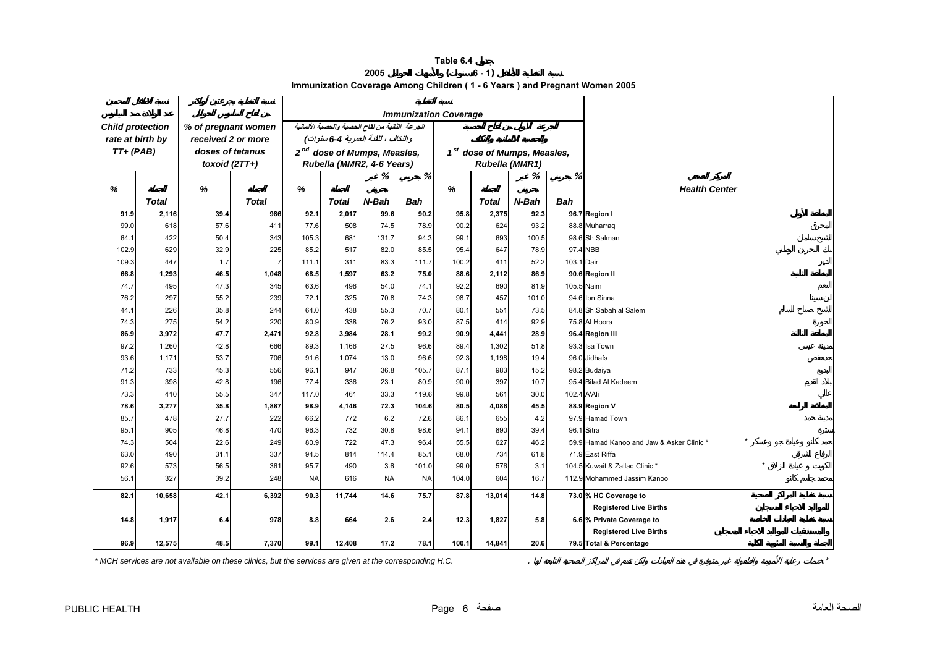**Table 6.4 2005 ( 6 - 1) Immunization Coverage Among Children ( 1 - 6 Years ) and Pregnant Women 2005**

<span id="page-5-0"></span>

|                         |                  |                     |              |           |              |                                                 |            | <b>Immunization Coverage</b> |                                         |       |             |                                           |
|-------------------------|------------------|---------------------|--------------|-----------|--------------|-------------------------------------------------|------------|------------------------------|-----------------------------------------|-------|-------------|-------------------------------------------|
| <b>Child protection</b> |                  | % of pregnant women |              |           |              | الجرعة الثانية من لقاح الحصبة والحصبة الألمانية |            |                              |                                         |       |             |                                           |
|                         | rate at birth by | received 2 or more  |              |           |              | والنكاف ، للفنة العمرية 4-6 سنوات)              |            |                              |                                         |       |             |                                           |
| $TT+$ (PAB)             |                  | doses of tetanus    |              |           |              | 2 <sup>nd</sup> dose of Mumps, Measles,         |            |                              | 1 <sup>st</sup> dose of Mumps, Measles, |       |             |                                           |
|                         |                  | toxoid $(2TT+)$     |              |           |              | Rubella (MMR2, 4-6 Years)                       |            |                              | Rubella (MMR1)                          |       |             |                                           |
|                         |                  |                     |              |           |              | %                                               | %          |                              |                                         | %     | %           |                                           |
| %                       |                  | %                   |              | %         |              |                                                 |            | %                            |                                         |       |             | <b>Health Center</b>                      |
|                         | <b>Total</b>     |                     | <b>Total</b> |           | <b>Total</b> | N-Bah                                           | <b>Bah</b> |                              | <b>Total</b>                            | N-Bah | <b>Bah</b>  |                                           |
| 91.9                    | 2,116            | 39.4                | 986          | 92.1      | 2,017        | 99.6                                            | 90.2       | 95.8                         | 2,375                                   | 92.3  |             | 96.7 Region I                             |
| 99.0                    | 618              | 57.6                | 411          | 77.6      | 508          | 74.5                                            | 78.9       | 90.2                         | 624                                     | 93.2  |             | 88.8 Muharraq                             |
| 64.1                    | 422              | 50.4                | 343          | 105.3     | 681          | 131.7                                           | 94.3       | 99.1                         | 693                                     | 100.5 |             | 98.6 Sh.Salman                            |
| 102.9                   | 629              | 32.9                | 225          | 85.2      | 517          | 82.0                                            | 85.5       | 95.4                         | 647                                     | 78.9  |             | 97.4 NBB                                  |
| 109.3                   | 447              | 1.7                 | 7            | 111.1     | 311          | 83.3                                            | 111.7      | 100.2                        | 411                                     | 52.2  | 103.1 Dair  |                                           |
| 66.8                    | 1,293            | 46.5                | 1,048        | 68.5      | 1,597        | 63.2                                            | 75.0       | 88.6                         | 2,112                                   | 86.9  |             | 90.6 Region II                            |
| 74.7                    | 495              | 47.3                | 345          | 63.6      | 496          | 54.0                                            | 74.1       | 92.2                         | 690                                     | 81.9  | 105.5 Naim  |                                           |
| 76.2                    | 297              | 55.2                | 239          | 72.1      | 325          | 70.8                                            | 74.3       | 98.7                         | 457                                     | 101.0 |             | 94.6 Ibn Sinna                            |
| 44.1                    | 226              | 35.8                | 244          | 64.0      | 438          | 55.3                                            | 70.7       | 80.1                         | 551                                     | 73.5  |             | 84.8 Sh.Sabah al Salem                    |
| 74.3                    | 275              | 54.2                | 220          | 80.9      | 338          | 76.2                                            | 93.0       | 87.5                         | 414                                     | 92.9  |             | 75.8 Al Hoora                             |
| 86.9                    | 3,972            | 47.7                | 2,471        | 92.8      | 3,984        | 28.1                                            | 99.2       | 90.9                         | 4,441                                   | 28.9  |             | 96.4 Region III                           |
| 97.2                    | 1,260            | 42.8                | 666          | 89.3      | 1,166        | 27.5                                            | 96.6       | 89.4                         | 1,302                                   | 51.8  |             | 93.3 Isa Town                             |
| 93.6                    | 1,171            | 53.7                | 706          | 91.6      | 1,074        | 13.0                                            | 96.6       | 92.3                         | 1,198                                   | 19.4  |             | 96.0 Jidhafs                              |
| 71.2                    | 733              | 45.3                | 556          | 96.1      | 947          | 36.8                                            | 105.7      | 87.1                         | 983                                     | 15.2  |             | 98.2 Budaiya                              |
| 91.3                    | 398              | 42.8                | 196          | 77.4      | 336          | 23.1                                            | 80.9       | 90.0                         | 397                                     | 10.7  |             | 95.4 Bilad Al Kadeem                      |
| 73.3                    | 410              | 55.5                | 347          | 117.0     | 461          | 33.3                                            | 119.6      | 99.8                         | 561                                     | 30.0  | 102.4 A'Ali |                                           |
| 78.6                    | 3,277            | 35.8                | 1,887        | 98.9      | 4,146        | 72.3                                            | 104.6      | 80.5                         | 4,086                                   | 45.5  |             | 88.9 Region V                             |
| 85.7                    | 478              | 27.7                | 222          | 66.2      | 772          | 6.2                                             | 72.6       | 86.1                         | 655                                     | 4.2   |             | 97.9 Hamad Town                           |
| 95.1                    | 905              | 46.8                | 470          | 96.3      | 732          | 30.8                                            | 98.6       | 94.1                         | 890                                     | 39.4  |             | 96.1 Sitra                                |
| 74.3                    | 504              | 22.6                | 249          | 80.9      | 722          | 47.3                                            | 96.4       | 55.5                         | 627                                     | 46.2  |             | 59.9 Hamad Kanoo and Jaw & Asker Clinic * |
| 63.0                    | 490              | 31.1                | 337          | 94.5      | 814          | 114.4                                           | 85.1       | 68.0                         | 734                                     | 61.8  |             | 71.9 East Riffa                           |
| 92.6                    | 573              | 56.5                | 361          | 95.7      | 490          | 3.6                                             | 101.0      | 99.0                         | 576                                     | 3.1   |             | 104.5 Kuwait & Zallaq Clinic *            |
| 56.1                    | 327              | 39.2                | 248          | <b>NA</b> | 616          | <b>NA</b>                                       | <b>NA</b>  | 104.0                        | 604                                     | 16.7  |             | 112.9 Mohammed Jassim Kanoo               |
| 82.1                    | 10,658           | 42.1                | 6,392        | 90.3      | 11,744       | 14.6                                            | 75.7       | 87.8                         | 13,014                                  | 14.8  |             | 73.0 % HC Coverage to                     |
|                         |                  |                     |              |           |              |                                                 |            |                              |                                         |       |             | <b>Registered Live Births</b>             |
| 14.8                    | 1,917            | 6.4                 | 978          | 8.8       | 664          | 2.6                                             | 2.4        | 12.3                         | 1,827                                   | 5.8   |             | 6.6 % Private Coverage to                 |
|                         |                  |                     |              |           |              |                                                 |            |                              |                                         |       |             | <b>Registered Live Births</b>             |
| 96.9                    | 12,575           | 48.5                | 7,370        | 99.1      | 12,408       | 17.2                                            | 78.1       | 100.1                        | 14,841                                  | 20.6  |             | 79.5 Total & Percentage                   |

*\* MCH services are not available on these clinics, but the services are given at the corresponding H.C.* . *\**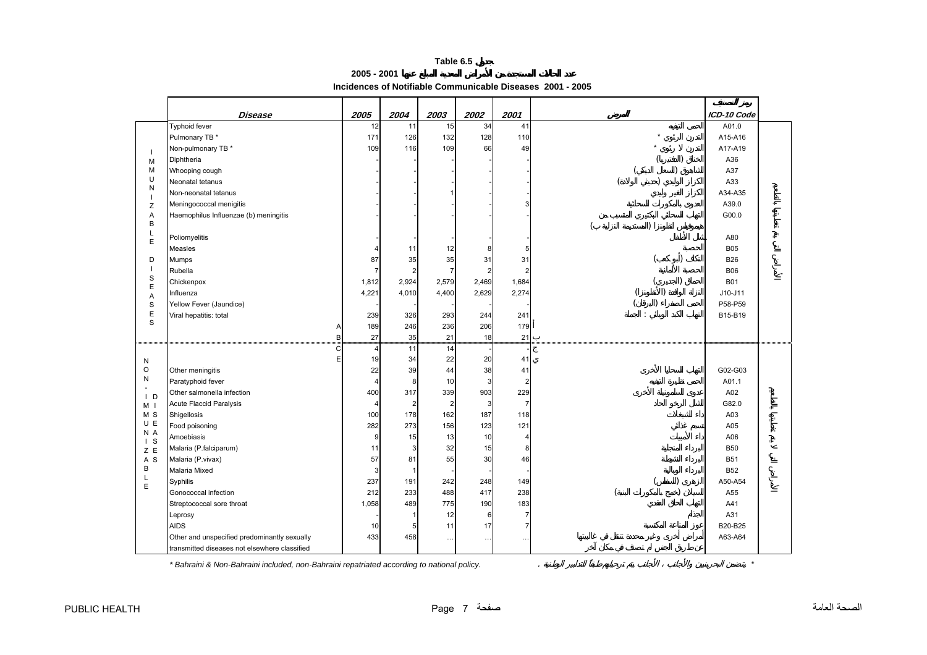**2005 - 2001**

**Incidences of Notifiable Communicable Diseases 2001 - 2005** 

<span id="page-6-0"></span>

|                       | Disease                                       | 2005                | 2004           | 2003           | 2002                    | 2001             | ICD-10 Code |  |
|-----------------------|-----------------------------------------------|---------------------|----------------|----------------|-------------------------|------------------|-------------|--|
|                       | <b>Typhoid fever</b>                          | 12                  | 11             | 15             | 34                      | 41               | A01.0       |  |
|                       | Pulmonary TB *                                | 171                 | 126            | 132            | 128                     | 110              | A15-A16     |  |
| $\overline{1}$        | Non-pulmonary TB *                            | 109                 | 116            | 109            | 66                      | 49               | A17-A19     |  |
| M                     | Diphtheria                                    |                     |                |                |                         |                  | A36         |  |
| M                     | Whooping cough                                |                     |                |                |                         |                  | A37         |  |
| U<br>N                | Neonatal tetanus                              |                     |                |                |                         |                  | A33         |  |
| $\overline{1}$        | Non-neonatal tetanus                          |                     |                |                |                         |                  | A34-A35     |  |
| Z                     | Meningococcal menigitis                       |                     |                |                |                         | 3                | A39.0       |  |
| Α                     | Haemophilus Influenzae (b) meningitis         |                     |                |                |                         |                  | G00.0       |  |
| B                     |                                               |                     |                |                |                         |                  |             |  |
| L<br>E                | Poliomyelitis                                 |                     |                |                |                         |                  | A80         |  |
|                       | Measles                                       |                     | 11             | 12             | 8                       | 5                | <b>B05</b>  |  |
| D                     | Mumps                                         | 87                  | 35             | 35             | 31                      | 31               | <b>B26</b>  |  |
|                       | Rubella                                       | $\overline{7}$      | $\overline{2}$ | 7              | $\overline{\mathbf{c}}$ | $\boldsymbol{2}$ | <b>B06</b>  |  |
| $\mathbf S$           | Chickenpox                                    | 1,812               | 2,924          | 2,579          | 2,469                   | 1,684            | <b>B01</b>  |  |
| E<br>Α                | Influenza                                     | 4,221               | 4,010          | 4,400          | 2,629                   | 2,274            | $J10-J11$   |  |
| S                     | Yellow Fever (Jaundice)                       |                     |                |                |                         |                  | P58-P59     |  |
| $\mathsf E$           | Viral hepatitis: total                        | 239                 | 326            | 293            | 244                     | 241              | B15-B19     |  |
| S                     |                                               | 189<br>Α            | 246            | 236            | 206                     | 179              |             |  |
|                       |                                               | 27<br>B             | 35             | 21             | 18                      | 21               |             |  |
|                       |                                               | C<br>$\overline{4}$ | 11             | 14             |                         |                  |             |  |
| N                     |                                               | 19                  | 34             | 22             | 20                      | 41               |             |  |
| $\circ$               | Other meningitis                              | 22                  | 39             | 44             | 38                      | 41               | G02-G03     |  |
| N                     | Paratyphoid fever                             | $\overline{4}$      | 8              | 10             | 3                       | $\overline{2}$   | A01.1       |  |
| $\mathsf{I}$ D        | Other salmonella infection                    | 400                 | 317            | 339            | 903                     | 229              | A02         |  |
| M I                   | Acute Flaccid Paralysis                       | $\overline{4}$      | $\overline{2}$ | $\overline{2}$ | $\mathsf 3$             | $\overline{7}$   | G82.0       |  |
| M S                   | Shigellosis                                   | 100                 | 178            | 162            | 187                     | 118              | A03         |  |
| U E                   | Food poisoning                                | 282                 | 273            | 156            | 123                     | 121              | A05         |  |
| N A                   | Amoebiasis                                    | 9                   | 15             | 13             | 10                      | $\overline{4}$   | A06         |  |
| $\mathsf{I}$ S<br>Z E | Malaria (P.falciparum)                        | 11                  | 3              | 32             | 15                      | 8                | <b>B50</b>  |  |
| A S                   | Malaria (P.vivax)                             | 57                  | 81             | 55             | 30                      | 46               | <b>B51</b>  |  |
| B                     | Malaria Mixed                                 | 3                   | -1             |                |                         |                  | <b>B52</b>  |  |
| Г                     | Syphilis                                      | 237                 | 191            | 242            | 248                     | 149              | A50-A54     |  |
| $\mathsf E$           | Gonococcal infection                          | 212                 | 233            | 488            | 417                     | 238              | A55         |  |
|                       | Streptococcal sore throat                     | 1,058               | 489            | 775            | 190                     | 183              | A41         |  |
|                       | Leprosy                                       |                     | $\mathbf{1}$   | 12             | $\,6\,$                 | $\overline{7}$   | A31         |  |
|                       | <b>AIDS</b>                                   | 10                  | 5              | 11             | 17                      | $\overline{7}$   | B20-B25     |  |
|                       |                                               |                     |                |                |                         | $\cdots$         | A63-A64     |  |
|                       | transmitted diseases not elsewhere classified |                     |                |                |                         |                  |             |  |
|                       | Other and unspecified predominantly sexually  | 433                 | 458            |                | $\cdots$                |                  |             |  |

*\* Bahraini & Non-Bahraini included, non-Bahraini repatriated according to national policy.* . *\**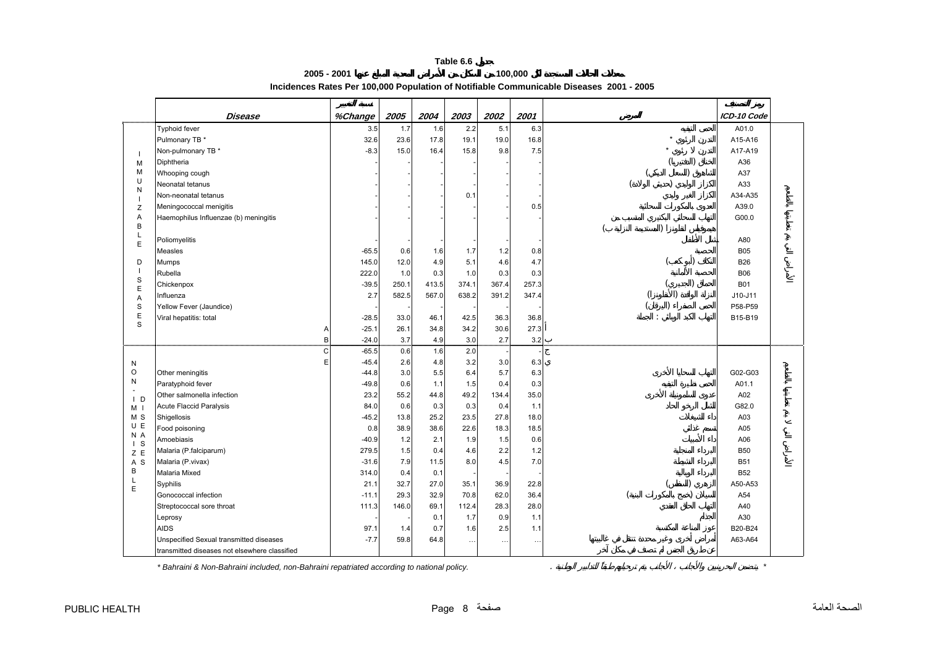**2005 - 2001**

**Incidences Rates Per 100,000 Population of Notifiable Communicable Diseases 2001 - 2005** 

**100,000**

<span id="page-7-0"></span>

|                          | Disease                                       | %Change | 2005  | 2004  | 2003     | 2002     | 2001     | ICD-10 Code |
|--------------------------|-----------------------------------------------|---------|-------|-------|----------|----------|----------|-------------|
|                          | <b>Typhoid fever</b>                          | 3.5     | 1.7   | 1.6   | 2.2      | 5.1      | 6.3      | A01.0       |
|                          | Pulmonary TB *                                | 32.6    | 23.6  | 17.8  | 19.1     | 19.0     | 16.8     | A15-A16     |
| $\overline{\phantom{a}}$ | Non-pulmonary TB *                            | $-8.3$  | 15.0  | 16.4  | 15.8     | 9.8      | 7.5      | A17-A19     |
| M                        | Diphtheria                                    |         |       |       |          |          |          | A36         |
| M                        | Whooping cough                                |         |       |       |          |          |          | A37         |
| U<br>N                   | Neonatal tetanus                              |         |       |       |          |          |          | A33         |
|                          | Non-neonatal tetanus                          |         |       |       | 0.1      |          |          | A34-A35     |
| Z                        | Meningococcal menigitis                       |         |       |       |          |          | 0.5      | A39.0       |
| Α                        | Haemophilus Influenzae (b) meningitis         |         |       |       |          |          |          | G00.0       |
| B                        |                                               |         |       |       |          |          |          |             |
| L<br>E                   | Poliomyelitis                                 |         |       |       |          |          |          | A80         |
|                          | Measles                                       | $-65.5$ | 0.6   | 1.6   | 1.7      | 1.2      | 0.8      | <b>B05</b>  |
| D                        | Mumps                                         | 145.0   | 12.0  | 4.9   | 5.1      | 4.6      | 4.7      | <b>B26</b>  |
| $\overline{1}$           | Rubella                                       | 222.0   | 1.0   | 0.3   | 1.0      | 0.3      | 0.3      | <b>B06</b>  |
| $\rm s$<br>E             | Chickenpox                                    | $-39.5$ | 250.1 | 413.5 | 374.1    | 367.4    | 257.3    | <b>B01</b>  |
| A                        | Influenza                                     | 2.7     | 582.5 | 567.0 | 638.2    | 391.2    | 347.4    | J10-J11     |
| S                        | Yellow Fever (Jaundice)                       |         |       |       |          |          |          | P58-P59     |
| E                        | Viral hepatitis: total                        | $-28.5$ | 33.0  | 46.1  | 42.5     | 36.3     | 36.8     | B15-B19     |
| S                        | А                                             | $-25.1$ | 26.1  | 34.8  | 34.2     | 30.6     | 27.3     |             |
|                          | B                                             | $-24.0$ | 3.7   | 4.9   | 3.0      | 2.7      | 3.2      |             |
|                          | Ć                                             | $-65.5$ | 0.6   | 1.6   | 2.0      |          |          |             |
| N                        | E                                             | $-45.4$ | 2.6   | 4.8   | 3.2      | 3.0      | 6.3      |             |
| $\circ$                  | Other meningitis                              | $-44.8$ | 3.0   | 5.5   | 6.4      | 5.7      | 6.3      | G02-G03     |
| N                        | Paratyphoid fever                             | $-49.8$ | 0.6   | 1.1   | 1.5      | 0.4      | 0.3      | A01.1       |
| $\mathsf{I}$ D           | Other salmonella infection                    | 23.2    | 55.2  | 44.8  | 49.2     | 134.4    | 35.0     | A02         |
| M <sub>1</sub>           | <b>Acute Flaccid Paralysis</b>                | 84.0    | 0.6   | 0.3   | 0.3      | 0.4      | 1.1      | G82.0       |
| M S                      | Shigellosis                                   | $-45.2$ | 13.8  | 25.2  | 23.5     | 27.8     | 18.0     | A03         |
| U E                      | Food poisoning                                | 0.8     | 38.9  | 38.6  | 22.6     | 18.3     | 18.5     | A05         |
| N A<br>$\overline{S}$    | Amoebiasis                                    | $-40.9$ | 1.2   | 2.1   | 1.9      | 1.5      | 0.6      | A06         |
| Z E                      | Malaria (P.falciparum)                        | 279.5   | 1.5   | 0.4   | 4.6      | 2.2      | 1.2      | <b>B50</b>  |
| A <sub>S</sub>           | Malaria (P.vivax)                             | $-31.6$ | 7.9   | 11.5  | 8.0      | 4.5      | 7.0      | <b>B51</b>  |
| B                        | Malaria Mixed                                 | 314.0   | 0.4   | 0.1   |          |          |          | <b>B52</b>  |
| L<br>E                   | Syphilis                                      | 21.1    | 32.7  | 27.0  | 35.1     | 36.9     | 22.8     | A50-A53     |
|                          | Gonococcal infection                          | $-11.1$ | 29.3  | 32.9  | 70.8     | 62.0     | 36.4     | A54         |
|                          | Streptococcal sore throat                     | 111.3   | 146.0 | 69.1  | 112.4    | 28.3     | 28.0     | A40         |
|                          | Leprosy                                       |         |       | 0.1   | 1.7      | 0.9      | 1.1      | A30         |
|                          | <b>AIDS</b>                                   | 97.7    | 1.4   | 0.7   | 1.6      | 2.5      | 1.1      | B20-B24     |
|                          | Unspecified Sexual transmitted diseases       | $-7.7$  | 59.8  | 64.8  | $\cdots$ | $\cdots$ | $\cdots$ | A63-A64     |
|                          | transmitted diseases not elsewhere classified |         |       |       |          |          |          |             |

*\* Bahraini & Non-Bahraini included, non-Bahraini repatriated according to national policy.* . *\**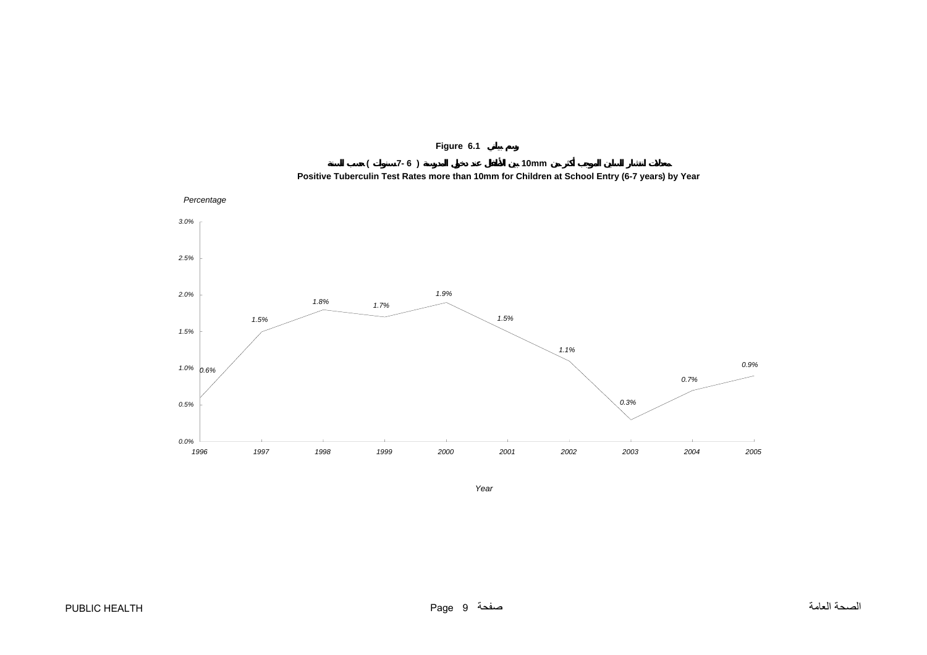

**Figure 6.1**

<span id="page-8-0"></span>

*Year*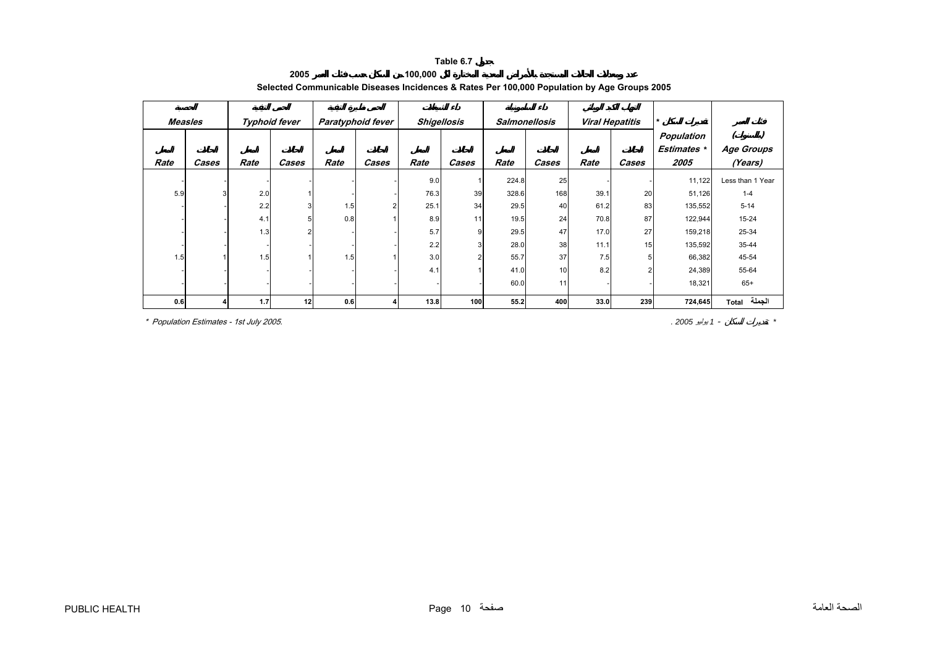<span id="page-9-0"></span>

| Measles |                         |      | Typhoid fever |      | Paratyphoid fever | <b>Shigellosis</b> |       |       | <b>Salmonellosis</b> | <b>Viral Hepatitis</b> |       | $\star$            |                   |
|---------|-------------------------|------|---------------|------|-------------------|--------------------|-------|-------|----------------------|------------------------|-------|--------------------|-------------------|
|         |                         |      |               |      |                   |                    |       |       |                      |                        |       | <b>Population</b>  |                   |
|         |                         |      |               |      |                   |                    |       |       |                      |                        |       | <b>Estimates</b> * | <b>Age Groups</b> |
| Rate    | Cases                   | Rate | Cases         | Rate | Cases             | Rate               | Cases | Rate  | Cases                | Rate                   | Cases | 2005               | (Years)           |
|         |                         |      |               |      |                   | 9.0                |       | 224.8 | 25                   |                        |       | 11,122             | Less than 1 Year  |
| 5.9     | $\overline{\mathbf{3}}$ | 2.0  |               |      |                   | 76.3               | 39    | 328.6 | 168                  | 39.1                   | 20    | 51,126             | $1 - 4$           |
|         |                         | 2.2  |               | 1.5  |                   | 25.1               | 34    | 29.5  | 40                   | 61.2                   | 83    | 135,552            | $5 - 14$          |
|         |                         | 4.1  |               | 0.8  |                   | 8.9                | 11    | 19.5  | 24                   | 70.8                   | 87    | 122,944            | 15-24             |
|         |                         | 1.3  |               |      |                   | 5.7                | 9     | 29.5  | 47                   | 17.0                   | 27    | 159,218            | 25-34             |
|         |                         |      |               |      |                   | 2.2                |       | 28.0  | 38                   | 11.1                   | 15    | 135,592            | 35-44             |
| 1.5     |                         | 1.5  |               | 1.5  |                   | 3.0                |       | 55.7  | 37                   | 7.5                    |       | 66,382             | 45-54             |
|         |                         |      |               |      |                   | 4.1                |       | 41.0  | 10                   | 8.2                    |       | 24,389             | 55-64             |
|         |                         |      |               |      |                   |                    |       | 60.0  | 11                   |                        |       | 18,321             | $65+$             |
| 0.6     |                         | 1.7  | 12            | 0.6  |                   | 13.8               | 100   | 55.2  | 400                  | 33.0                   | 239   | 724,645            | الجملة<br>Total   |

#### **2005 100,000 Selected Communicable Diseases Incidences & Rates Per 100,000 Population by Age Groups 2005**

\* Population Estimates - 1st July 2005. *. 2005* يوليو *<sup>1</sup>* -*\**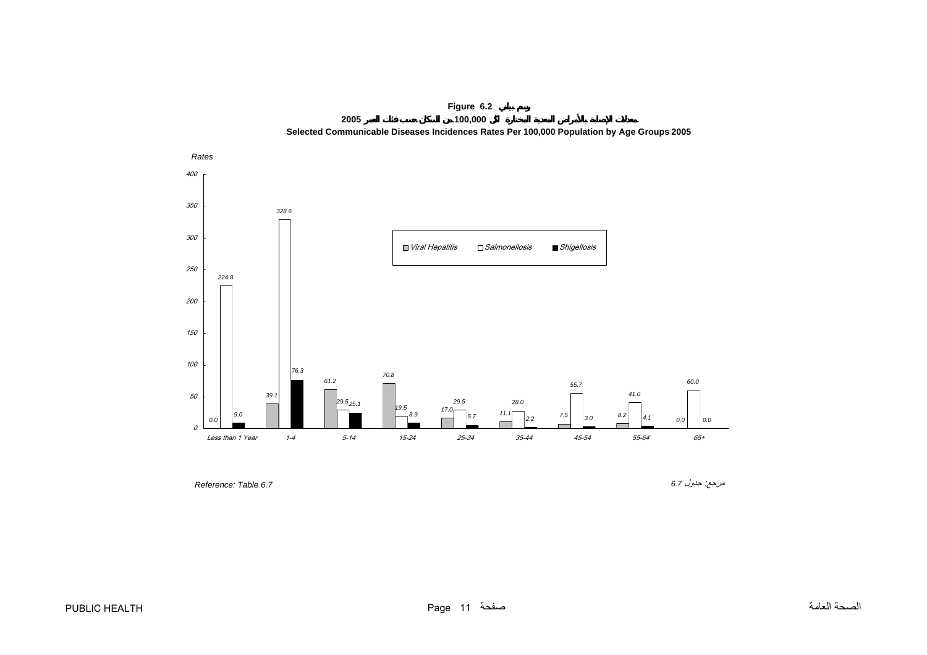

<span id="page-10-0"></span>

*Reference: Table 6.7* 

مرجع: جدول *6.7*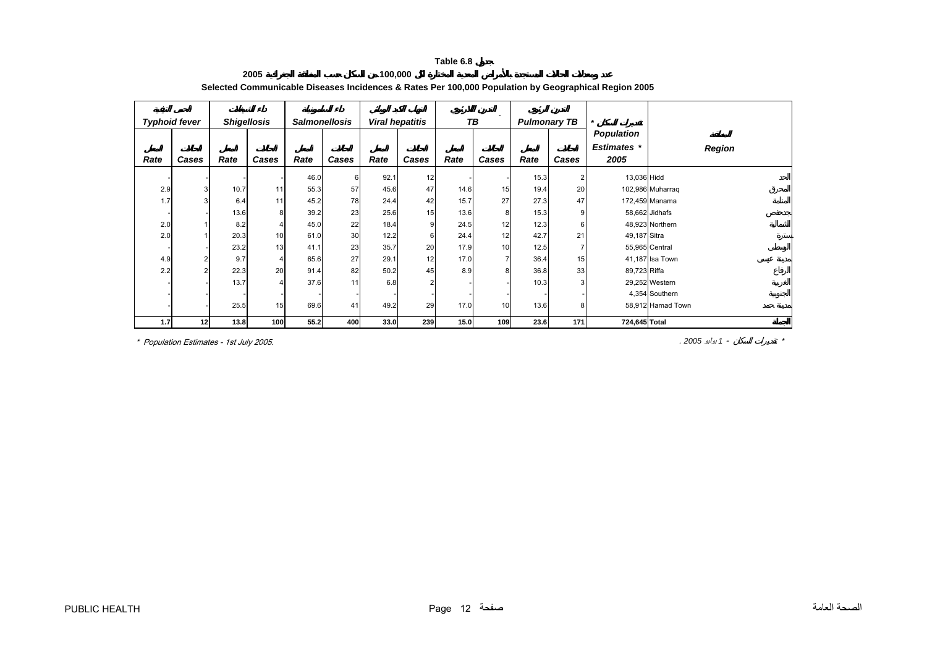<span id="page-11-0"></span>

|      | <b>Typhoid fever</b> |      | <b>Shigellosis</b> |      | <b>Salmonellosis</b> |      | <b>Viral hepatitis</b> |      | $\sim$<br>TВ   |      | <b>Pulmonary TB</b> | $\star$            |                   |
|------|----------------------|------|--------------------|------|----------------------|------|------------------------|------|----------------|------|---------------------|--------------------|-------------------|
|      |                      |      |                    |      |                      |      |                        |      |                |      |                     | <b>Population</b>  |                   |
|      |                      |      |                    |      |                      |      |                        |      |                |      |                     | <b>Estimates</b> * | <b>Region</b>     |
| Rate | Cases                | Rate | Cases              | Rate | Cases                | Rate | Cases                  | Rate | Cases          | Rate | Cases               | 2005               |                   |
|      |                      |      |                    | 46.0 | 6                    | 92.1 | 12                     |      |                | 15.3 | $\overline{2}$      | 13,036 Hidd        |                   |
| 2.9  | 3                    | 10.7 | 11                 | 55.3 | 57                   | 45.6 | 47                     | 14.6 | 15             | 19.4 | 20                  |                    | 102,986 Muharrag  |
| 1.7  | 3                    | 6.4  | 11                 | 45.2 | 78                   | 24.4 | 42                     | 15.7 | 27             | 27.3 | 47                  |                    | 172,459 Manama    |
|      |                      | 13.6 | 8                  | 39.2 | 23                   | 25.6 | 15                     | 13.6 | 8              | 15.3 | 9                   |                    | 58,662 Jidhafs    |
| 2.0  |                      | 8.2  |                    | 45.0 | 22                   | 18.4 | 9 <sup>1</sup>         | 24.5 | 12             | 12.3 | 6                   |                    | 48,923 Northern   |
| 2.0  |                      | 20.3 | 10                 | 61.0 | 30                   | 12.2 | 6                      | 24.4 | 12             | 42.7 | 21                  | 49,187 Sitra       |                   |
|      |                      | 23.2 | 13                 | 41.1 | 23                   | 35.7 | 20                     | 17.9 | 10             | 12.5 | 7                   |                    | 55,965 Central    |
| 4.9  |                      | 9.7  |                    | 65.6 | 27                   | 29.1 | 12                     | 17.0 | $\overline{7}$ | 36.4 | 15                  |                    | 41,187 Isa Town   |
| 2.2  |                      | 22.3 | 20                 | 91.4 | 82                   | 50.2 | 45                     | 8.9  | 8              | 36.8 | 33                  | 89,723 Riffa       |                   |
|      |                      | 13.7 |                    | 37.6 | 11                   | 6.8  | $\overline{2}$         |      |                | 10.3 | 3                   |                    | 29,252 Western    |
|      |                      |      |                    |      |                      |      |                        |      |                |      |                     |                    | 4,354 Southern    |
|      |                      | 25.5 | 15                 | 69.6 | 41                   | 49.2 | 29                     | 17.0 | 10             | 13.6 | 8                   |                    | 58,912 Hamad Town |
| 1.7  | 12                   | 13.8 | 100                | 55.2 | 400                  | 33.0 | 239                    | 15.0 | 109            | 23.6 | 171                 | 724,645 Total      |                   |

# **Selected Communicable Diseases Incidences & Rates Per 100,000 Population by Geographical Region 2005**

**100,000**

\* Population Estimates - 1st July 2005. *. 2005* يوليو *<sup>1</sup>* -*\**

**2005**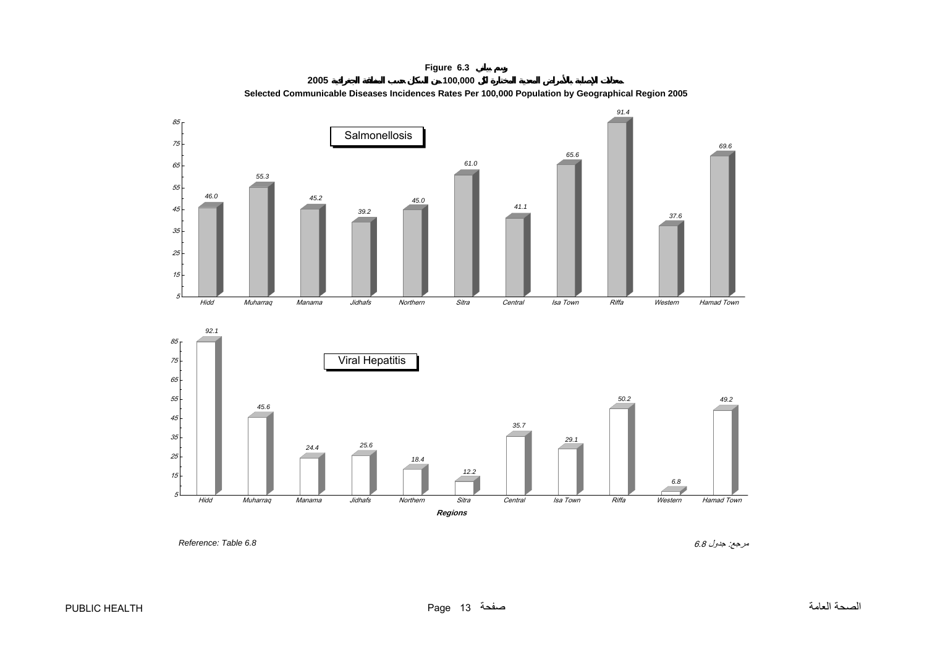<span id="page-12-0"></span>

**Figure 6.3 2005 100,000 Selected Communicable Diseases Incidences Rates Per 100,000 Population by Geographical Region 2005**

مرجع: جدول 6.8 *6.8 Table :Reference*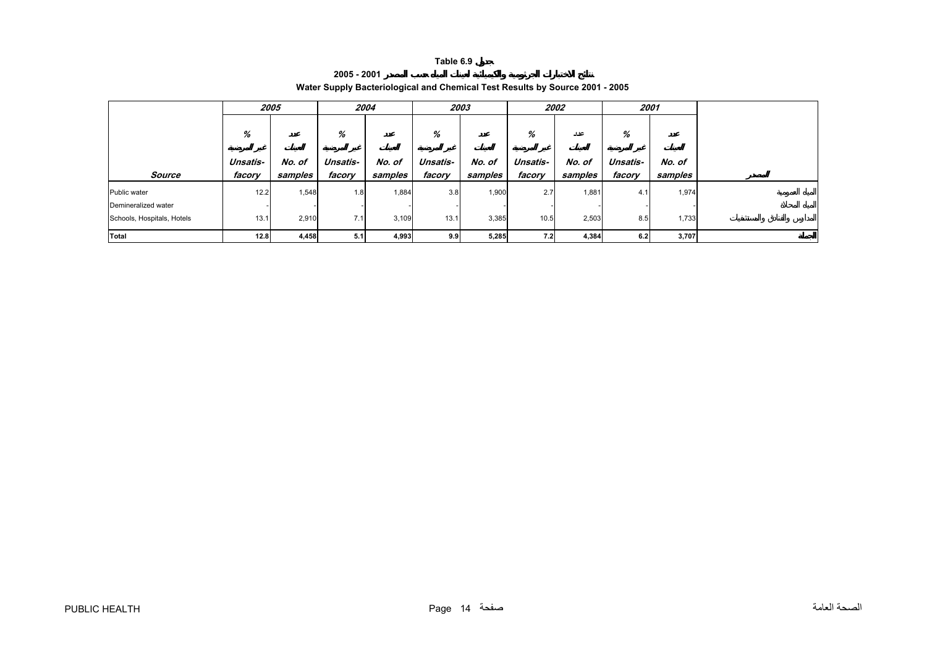| 2005 - 2001                                                                  |  |
|------------------------------------------------------------------------------|--|
| Water Supply Bacteriological and Chemical Test Results by Source 2001 - 2005 |  |

<span id="page-13-0"></span>

|                            |          | 2005    |                          | 2004    | 2003     |         |          | 2002    | 2001     |         |
|----------------------------|----------|---------|--------------------------|---------|----------|---------|----------|---------|----------|---------|
|                            | %        |         | %                        |         | %        |         | %        | عدد     | %        |         |
|                            | Unsatis- | No. of  | Unsatis-                 | No. of  | Unsatis- | No. of  | Unsatis- | No. of  | Unsatis- | No. of  |
| Source                     | facory   | samples | facory                   | samples | facory   | samples | facory   | samples | facory   | samples |
| Public water               | 12.2     | 1,548   | 1.8                      | 1,884   | 3.8      | 1,900   | 2.7      | 1,881   | 4.1      | 1,974   |
| Demineralized water        |          |         | $\overline{\phantom{a}}$ |         |          |         |          |         |          |         |
| Schools, Hospitals, Hotels | 13.1     | 2,910   | 7.1                      | 3,109   | 13.1     | 3,385   | 10.5     | 2,503   | 8.5      | 1,733   |
| Total                      | 12.8     | 4,458   | 5.1                      | 4,993   | 9.9      | 5,285   | 7.2      | 4,384   | 6.2      | 3,707   |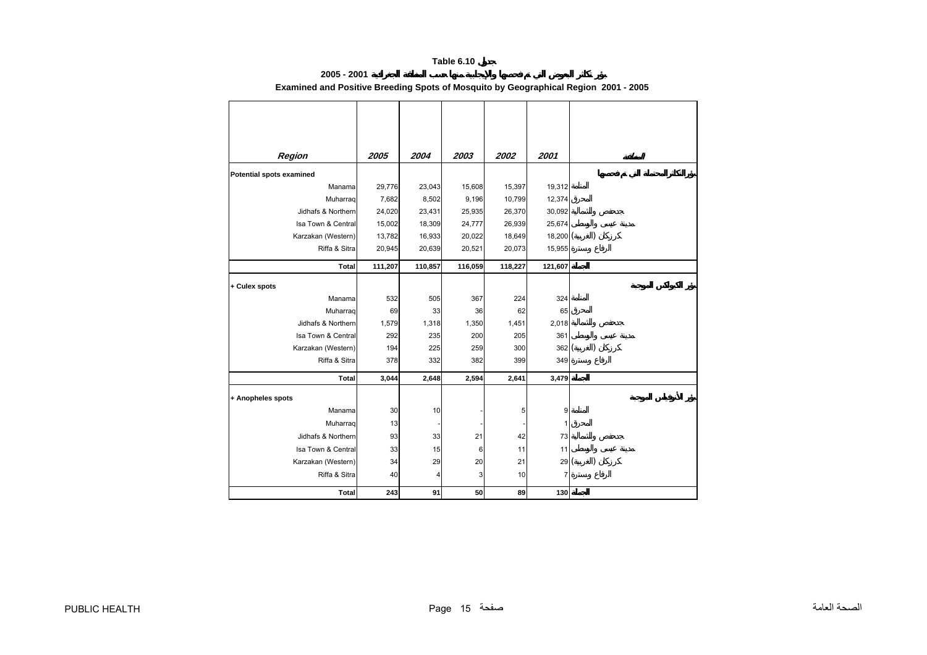# **2005 - 2001 Examined and Positive Breeding Spots of Mosquito by Geographical Region 2001 - 2005**

<span id="page-14-0"></span>

| Region                   | 2005    | 2004    | 2003    | 2002    | 2001         |  |
|--------------------------|---------|---------|---------|---------|--------------|--|
| Potential spots examined |         |         |         |         |              |  |
| Manama                   | 29,776  | 23,043  | 15,608  | 15,397  | 19,312       |  |
| Muharraq                 | 7,682   | 8,502   | 9,196   | 10,799  | 12,374       |  |
| Jidhafs & Northern       | 24,020  | 23,431  | 25,935  | 26,370  | 30,092       |  |
| Isa Town & Central       | 15,002  | 18,309  | 24,777  | 26,939  | 25,674       |  |
| Karzakan (Western)       | 13,782  | 16,933  | 20,022  | 18,649  | $18,200$ $($ |  |
| Riffa & Sitra            | 20,945  | 20,639  | 20,521  | 20,073  | 15,955       |  |
| <b>Total</b>             | 111,207 | 110,857 | 116,059 | 118,227 | 121,607      |  |
| + Culex spots            |         |         |         |         |              |  |
| Manama                   | 532     | 505     | 367     | 224     | 324          |  |
| Muharrag                 | 69      | 33      | 36      | 62      | 65           |  |
| Jidhafs & Northern       | 1,579   | 1,318   | 1,350   | 1,451   | 2,018        |  |
| Isa Town & Central       | 292     | 235     | 200     | 205     | 361          |  |
| Karzakan (Western)       | 194     | 225     | 259     | 300     | 362          |  |
| Riffa & Sitra            | 378     | 332     | 382     | 399     | 349          |  |
| <b>Total</b>             | 3,044   | 2,648   | 2,594   | 2,641   | 3,479        |  |
| + Anopheles spots        |         |         |         |         |              |  |
| Manama                   | 30      | 10      |         | 5       | 9            |  |
|                          |         |         |         |         |              |  |
| Muharrag                 | 13      |         |         |         | 1            |  |
| Jidhafs & Northern       | 93      | 33      | 21      | 42      | 73           |  |
| Isa Town & Central       | 33      | 15      | 6       | 11      | 11           |  |
| Karzakan (Western)       | 34      | 29      | 20      | 21      | 29           |  |
| Riffa & Sitra            | 40      | 4       | 3       | 10      | 7            |  |
| <b>Total</b>             | 243     | 91      | 50      | 89      | 130          |  |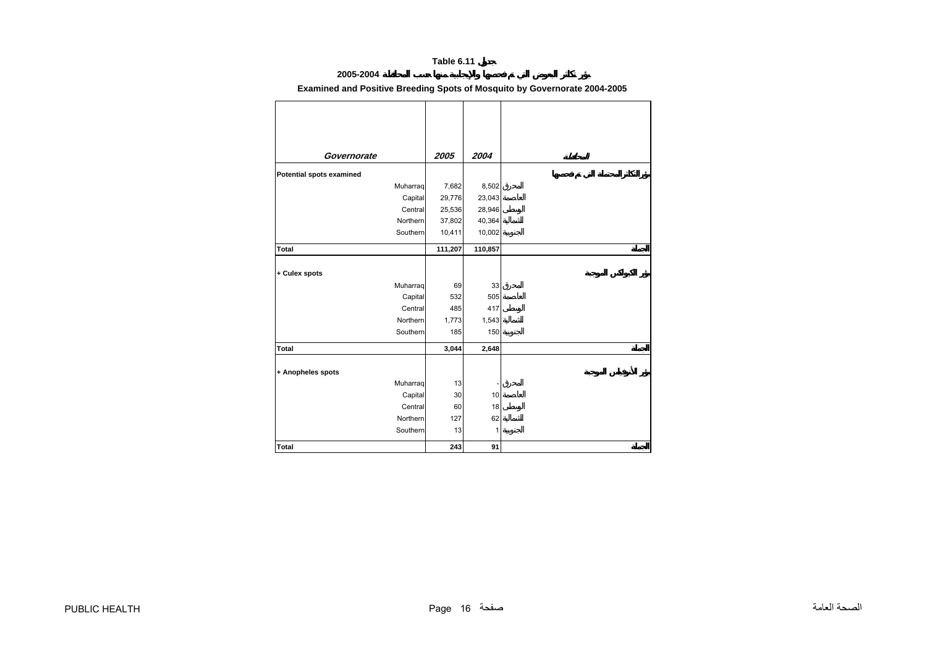# **2005-2004**

# **Examined and Positive Breeding Spots of Mosquito by Governorate 2004-2005**

<span id="page-15-0"></span>

| Governorate                     | 2005    | 2004    |
|---------------------------------|---------|---------|
|                                 |         |         |
| <b>Potential spots examined</b> |         |         |
| Muharraq                        | 7,682   | 8,502   |
| Capital                         | 29,776  | 23,043  |
| Central                         | 25,536  | 28,946  |
| Northern                        | 37,802  | 40,364  |
| Southern                        | 10,411  | 10,002  |
| Total                           | 111,207 | 110,857 |
|                                 |         |         |
| + Culex spots                   |         |         |
| Muharraq                        | 69      | 33      |
| Capital                         | 532     | 505     |
| Central                         | 485     | 417     |
| Northern                        | 1,773   | 1,543   |
| Southern                        | 185     | 150     |
| Total                           | 3,044   | 2,648   |
|                                 |         |         |
| + Anopheles spots               |         |         |
| Muharraq                        | 13      |         |
| Capital                         | 30      | $10$    |
| Central                         | 60      | 18      |
| Northern                        | 127     | 62      |
| Southern                        | 13      | 1       |
| Total                           | 243     | 91      |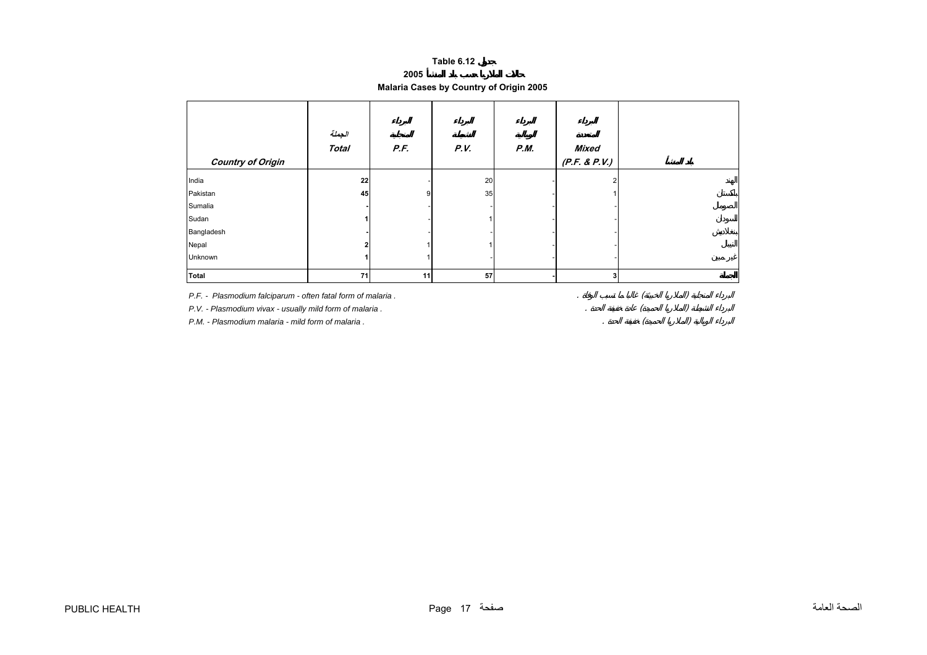**2005**

# **Malaria Cases by Country of Origin 2005**

<span id="page-16-0"></span>

| <b>Country of Origin</b> | الجعلة<br><b>Total</b> | P.F. | P.V. | <b>P.M.</b> | <b>Mixed</b><br>(P.F. & P.V.) |  |
|--------------------------|------------------------|------|------|-------------|-------------------------------|--|
| India                    | 22                     |      | 20   |             | າ                             |  |
| Pakistan                 | 45                     | 9    | 35   |             |                               |  |
| Sumalia                  |                        |      |      |             |                               |  |
| Sudan                    |                        |      |      |             |                               |  |
| Bangladesh               |                        |      |      |             |                               |  |
| Nepal                    | ŋ                      |      |      |             |                               |  |
| Unknown                  |                        |      |      |             |                               |  |
| <b>Total</b>             | 71                     | 11   | 57   |             | 3                             |  |

*P.F. - Plasmodium falciparum - often fatal form of malaria .* 

P.V. - Plasmodium vivax - usually mild form of malaria .

*P.M. - Plasmodium malaria - mild form of malaria .*

 $\begin{pmatrix} 1 & 1 \\ 0 & 1 \\ 0 & 0 \end{pmatrix}$ <br> $\begin{pmatrix} 1 & 1 \\ 0 & 1 \\ 0 & 1 \end{pmatrix}$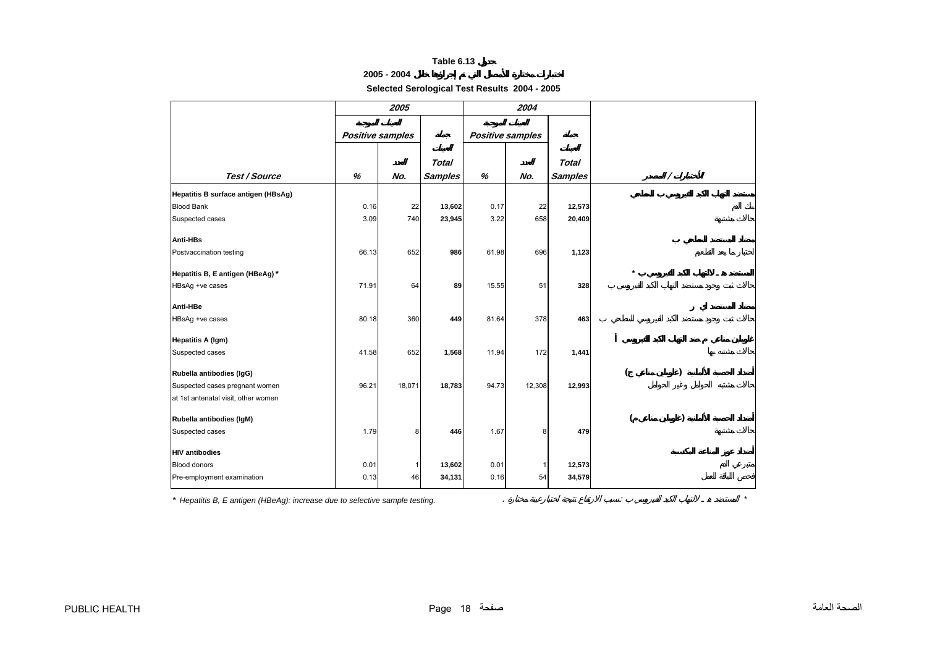# **2005 - 2004**

**Selected Serological Test Results 2004 - 2005**

<span id="page-17-0"></span>

|                                     |                         | 2005         |                |       | 2004                    |                |         |   |  |
|-------------------------------------|-------------------------|--------------|----------------|-------|-------------------------|----------------|---------|---|--|
|                                     | <b>Positive samples</b> |              |                |       | <b>Positive samples</b> |                |         |   |  |
|                                     |                         |              | <b>Total</b>   |       |                         | <b>Total</b>   |         |   |  |
| Test / Source                       | %                       | No.          | <b>Samples</b> | %     | No.                     | <b>Samples</b> |         | Τ |  |
| Hepatitis B surface antigen (HBsAg) |                         |              |                |       |                         |                |         |   |  |
| <b>Blood Bank</b>                   | 0.16                    | 22           | 13,602         | 0.17  | 22                      | 12,573         |         |   |  |
| Suspected cases                     | 3.09                    | 740          | 23,945         | 3.22  | 658                     | 20,409         |         |   |  |
| Anti-HBs                            |                         |              |                |       |                         |                |         |   |  |
| Postvaccination testing             | 66.13                   | 652          | 986            | 61.98 | 696                     | 1,123          |         |   |  |
|                                     |                         |              |                |       |                         |                |         |   |  |
| Hepatitis B, E antigen (HBeAg)*     |                         |              |                |       |                         |                | $\star$ |   |  |
| HBsAg +ve cases                     | 71.91                   | 64           | 89             | 15.55 | 51                      | 328            |         |   |  |
| Anti-HBe                            |                         |              |                |       |                         |                |         |   |  |
| HBsAg +ve cases                     | 80.18                   | 360          | 449            | 81.64 | 378                     | 463            |         |   |  |
| <b>Hepatitis A (Igm)</b>            |                         |              |                |       |                         |                |         |   |  |
| Suspected cases                     | 41.58                   | 652          | 1,568          | 11.94 | 172                     | 1,441          |         |   |  |
|                                     |                         |              |                |       |                         |                |         |   |  |
| Rubella antibodies (IgG)            |                         |              |                |       |                         |                |         |   |  |
| Suspected cases pregnant women      | 96.21                   | 18,071       | 18,783         | 94.73 | 12,308                  | 12,993         |         |   |  |
| at 1st antenatal visit, other women |                         |              |                |       |                         |                |         |   |  |
| Rubella antibodies (IgM)            |                         |              |                |       |                         |                |         |   |  |
| Suspected cases                     | 1.79                    | 8            | 446            | 1.67  | 8                       | 479            |         |   |  |
| <b>HIV</b> antibodies               |                         |              |                |       |                         |                |         |   |  |
| <b>Blood donors</b>                 | 0.01                    | $\mathbf{1}$ | 13,602         | 0.01  |                         | 12,573         |         |   |  |
| Pre-employment examination          | 0.13                    | 46           | 34,131         | 0.16  | 54                      | 34,579         |         |   |  |
|                                     |                         |              |                |       |                         |                |         |   |  |

*\* Hepatitis B, E antigen (HBeAg): increase due to selective sample testing.* . : *\**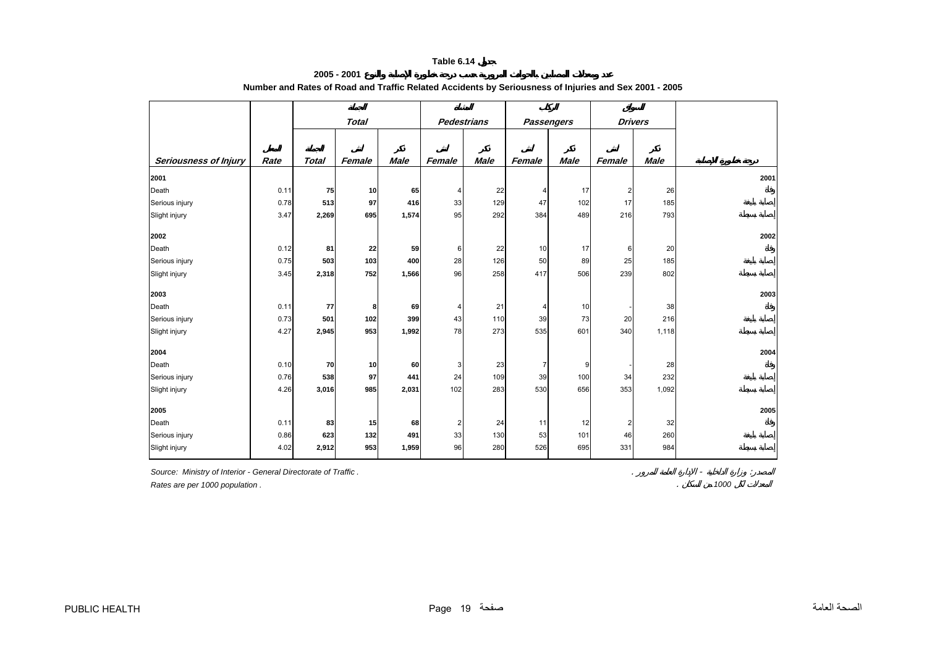**2005 - 2001**

<span id="page-18-0"></span>

|                              |      |              | <b>Total</b> |             | <b>Pedestrians</b> |             |        | <b>Passengers</b> | <b>Drivers</b> |             |  |
|------------------------------|------|--------------|--------------|-------------|--------------------|-------------|--------|-------------------|----------------|-------------|--|
|                              |      |              |              |             |                    |             |        |                   |                |             |  |
| <b>Seriousness of Injury</b> | Rate | <b>Total</b> | Female       | <b>Male</b> | Female             | <b>Male</b> | Female | <b>Male</b>       | Female         | <b>Male</b> |  |
| 2001                         |      |              |              |             |                    |             |        |                   |                |             |  |
| Death                        | 0.11 | 75           | 10           | 65          | 4                  | 22          | 4      | 17                | 2              | 26          |  |
| Serious injury               | 0.78 | 513          | 97           | 416         | 33                 | 129         | 47     | 102               | 17             | 185         |  |
| Slight injury                | 3.47 | 2,269        | 695          | 1,574       | 95                 | 292         | 384    | 489               | 216            | 793         |  |
| 2002                         |      |              |              |             |                    |             |        |                   |                |             |  |
| Death                        | 0.12 | 81           | 22           | 59          | 6                  | 22          | 10     | 17                | 6              | 20          |  |
| Serious injury               | 0.75 | 503          | 103          | 400         | 28                 | 126         | 50     | 89                | 25             | 185         |  |
| Slight injury                | 3.45 | 2,318        | 752          | 1,566       | 96                 | 258         | 417    | 506               | 239            | 802         |  |
| 2003                         |      |              |              |             |                    |             |        |                   |                |             |  |
| Death                        | 0.11 | 77           | 8            | 69          | 4                  | 21          | 4      | 10                |                | 38          |  |
| Serious injury               | 0.73 | 501          | 102          | 399         | 43                 | 110         | 39     | 73                | 20             | 216         |  |
| Slight injury                | 4.27 | 2,945        | 953          | 1,992       | 78                 | 273         | 535    | 601               | 340            | 1,118       |  |
| 2004                         |      |              |              |             |                    |             |        |                   |                |             |  |
| Death                        | 0.10 | 70           | 10           | 60          | 3                  | 23          | 7      | 9                 |                | 28          |  |
| Serious injury               | 0.76 | 538          | 97           | 441         | 24                 | 109         | 39     | 100               | 34             | 232         |  |
| Slight injury                | 4.26 | 3,016        | 985          | 2,031       | 102                | 283         | 530    | 656               | 353            | 1,092       |  |
| 2005                         |      |              |              |             |                    |             |        |                   |                |             |  |
| Death                        | 0.11 | 83           | 15           | 68          | 2                  | 24          | 11     | 12                | 2              | 32          |  |
| Serious injury               | 0.86 | 623          | 132          | 491         | 33                 | 130         | 53     | 101               | 46             | 260         |  |
| Slight injury                | 4.02 | 2,912        | 953          | 1,959       | 96                 | 280         | 526    | 695               | 331            | 984         |  |
|                              |      |              |              |             |                    |             |        |                   |                |             |  |

# **Number and Rates of Road and Traffic Related Accidents by Seriousness of Injuries and Sex 2001 - 2005**

*Source: Ministry of Interior - General Directorate of Traffic .* . - :

*Rates are per 1000 population .* . *1000*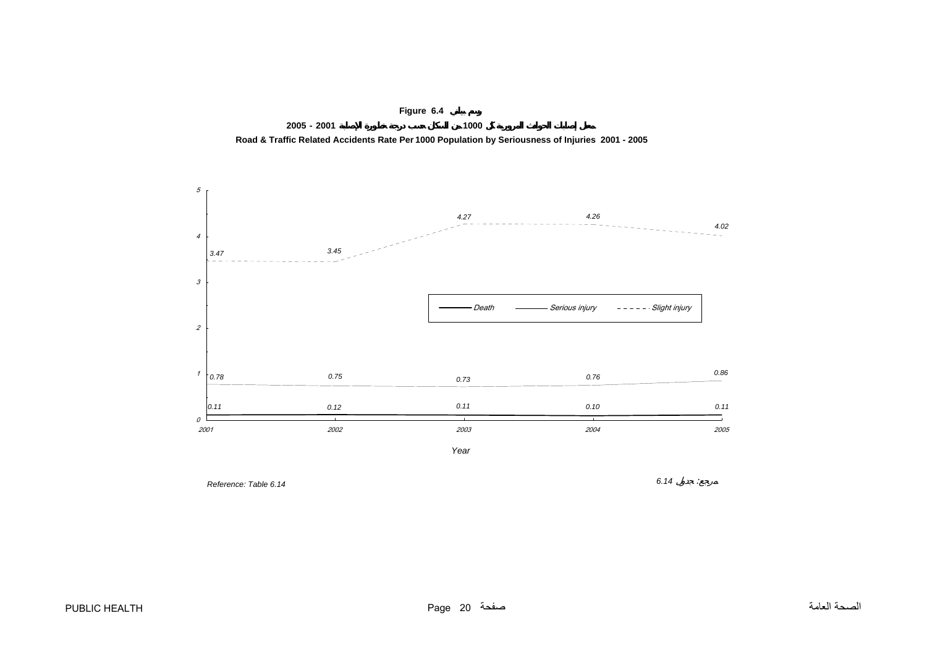<span id="page-19-0"></span>





*6.14* :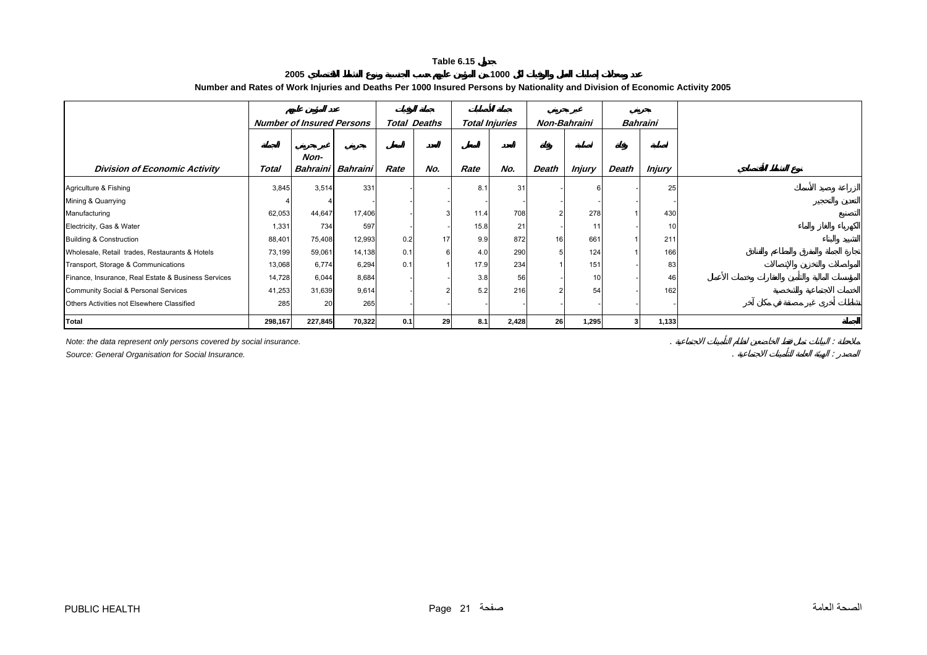#### **2005 1000 Number and Rates of Work Injuries and Deaths Per 1000 Insured Persons by Nationality and Division of Economic Activity 2005**

<span id="page-20-0"></span>

|                                                     | <b>Number of Insured Persons</b> |         | <b>Total Deaths</b> |      | <b>Total Injuries</b> |      | Non-Bahraini |       | Bahraini      |       |               |
|-----------------------------------------------------|----------------------------------|---------|---------------------|------|-----------------------|------|--------------|-------|---------------|-------|---------------|
| <b>Division of Economic Activity</b>                | Total                            | Non-    | Bahraini Bahraini   | Rate | No.                   | Rate | No.          | Death | <b>Injury</b> | Death | <b>Injury</b> |
| Agriculture & Fishing                               | 3,845                            | 3,514   | 331                 |      |                       | 8.3  | 31           |       |               |       | 25            |
| Mining & Quarrying                                  |                                  |         |                     |      |                       |      |              |       |               |       |               |
| Manufacturing                                       | 62,053                           | 44,647  | 17,406              |      |                       | 11.4 | 708          |       | 278           |       | 430           |
| Electricity, Gas & Water                            | 1,331                            | 734     | 597                 |      |                       | 15.8 | 21           |       |               |       |               |
| <b>Building &amp; Construction</b>                  | 88,401                           | 75,408  | 12,993              | 0.2  | 17                    | 9.9  | 872          | 16    | 661           |       | 211           |
| Wholesale, Retail trades, Restaurants & Hotels      | 73,199                           | 59,061  | 14,138              | 0.1  | 6                     | 4.0  | 290          |       | 124           |       | 166           |
| Transport, Storage & Communications                 | 13,068                           | 6,774   | 6,294               | 0.1  |                       | 17.9 | 234          |       | 151           |       | 83            |
| Finance, Insurance, Real Estate & Business Services | 14,728                           | 6,044   | 8,684               |      |                       | 3.8  | 56           |       | 10            |       | 46            |
| Community Social & Personal Services                | 41,253                           | 31,639  | 9,614               |      |                       | 5.2  | 216          |       | 54            |       | 162           |
| Others Activities not Elsewhere Classified          | 285                              | 20      | 265                 |      |                       |      |              |       |               |       |               |
| Total                                               | 298,167                          | 227,845 | 70,322              | 0.1  | 29                    | 8.1  | 2,428        | 26    | 1,295         | 3     | 1,133         |

*Note: the data represent only persons covered by social insurance.* . :

*Source: General Organisation for Social Insurance.* . :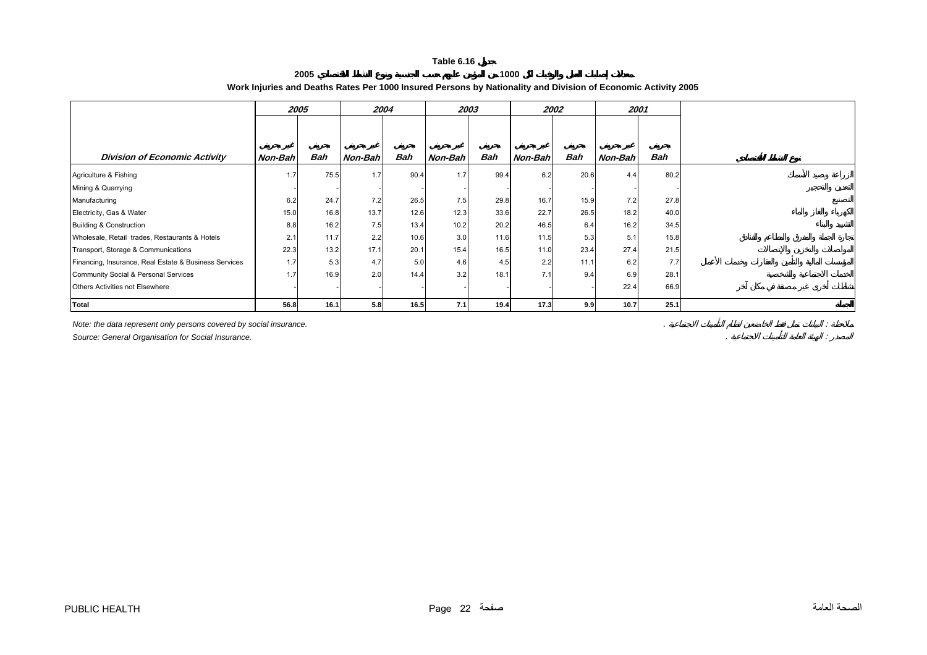**2005**

**1000**

**Work Injuries and Deaths Rates Per 1000 Insured Persons by Nationality and Division of Economic Activity 2005** 

<span id="page-21-0"></span>

|                                                       | 2005    |      | 2004             |      | 2003    |      | 2002    |      | 2001    |      |
|-------------------------------------------------------|---------|------|------------------|------|---------|------|---------|------|---------|------|
|                                                       |         |      |                  |      |         |      |         |      |         |      |
|                                                       |         |      |                  |      |         |      |         |      |         |      |
| <b>Division of Economic Activity</b>                  | Non-Bah | Bah  | Non-Bah          | Bah  | Non-Bah | Bah  | Non-Bah | Bah  | Non-Bah | Bah  |
| Agriculture & Fishing                                 | 1.7     | 75.5 | 1.7              | 90.4 | 1.7     | 99.4 | 6.2     | 20.6 | 4.4     | 80.2 |
| Mining & Quarrying                                    |         |      |                  |      |         |      |         |      |         |      |
| Manufacturing                                         | 6.2     | 24.7 | 7.2              | 26.5 | 7.5     | 29.8 | 16.7    | 15.9 | 7.2     | 27.8 |
| Electricity, Gas & Water                              | 15.0    | 16.8 | 13.7             | 12.6 | 12.3    | 33.6 | 22.7    | 26.5 | 18.2    | 40.0 |
| Building & Construction                               | 8.8     | 16.2 | 7.5              | 13.4 | 10.2    | 20.2 | 46.5    | 6.4  | 16.2    | 34.5 |
| Wholesale, Retail trades, Restaurants & Hotels        | 2.1     | 11.7 | 2.2              | 10.6 | 3.0     | 11.6 | 11.5    | 5.3  | 5.1     | 15.8 |
| Transport, Storage & Communications                   | 22.3    | 13.2 | 17.1             | 20.1 | 15.4    | 16.5 | 11.0    | 23.4 | 27.4    | 21.5 |
| Financing, Insurance, Real Estate & Business Services | 1.7     | 5.3  | 4.7              | 5.0  | 4.6     | 4.5  | 2.2     | 11.1 | 6.2     | 7.7  |
| Community Social & Personal Services                  | 1.7     | 16.9 | 2.0              | 14.4 | 3.2     | 18.1 | 7.1     | 9.4  | 6.9     | 28.1 |
| Others Activities not Elsewhere                       |         |      |                  |      |         |      |         |      | 22.4    | 66.9 |
| <b>Total</b>                                          | 56.8    | 16.1 | 5.8 <sub>1</sub> | 16.5 | 7.1     | 19.4 | 17.3    | 9.9  | 10.7    | 25.1 |

*Note: the data represent only persons covered by social insurance.* . :

*Source: General Organisation for Social Insurance.* . :